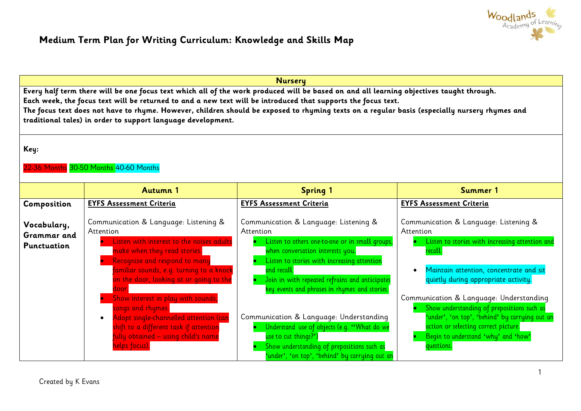

## **Medium Term Plan for Writing Curriculum: Knowledge and Skills Map**

| <b>Nursery</b>                                                                                                                                                                                                                                                                                                                                                                                                                                                             |                                                                                                                                                                                                                                                                                                                     |                                                                                                                                                                                                                                                                                                            |                                                                                                                                                                                                                                                             |
|----------------------------------------------------------------------------------------------------------------------------------------------------------------------------------------------------------------------------------------------------------------------------------------------------------------------------------------------------------------------------------------------------------------------------------------------------------------------------|---------------------------------------------------------------------------------------------------------------------------------------------------------------------------------------------------------------------------------------------------------------------------------------------------------------------|------------------------------------------------------------------------------------------------------------------------------------------------------------------------------------------------------------------------------------------------------------------------------------------------------------|-------------------------------------------------------------------------------------------------------------------------------------------------------------------------------------------------------------------------------------------------------------|
| Every half term there will be one focus text which all of the work produced will be based on and all learning objectives taught through.<br>Each week, the focus text will be returned to and a new text will be introduced that supports the focus text.<br>The focus text does not have to rhyme. However, children should be exposed to rhyming texts on a regular basis (especially nursery rhymes and<br>traditional tales) in order to support language development. |                                                                                                                                                                                                                                                                                                                     |                                                                                                                                                                                                                                                                                                            |                                                                                                                                                                                                                                                             |
| Key:<br>22-36 Months 30-50 Months 40-60 Months                                                                                                                                                                                                                                                                                                                                                                                                                             |                                                                                                                                                                                                                                                                                                                     |                                                                                                                                                                                                                                                                                                            |                                                                                                                                                                                                                                                             |
|                                                                                                                                                                                                                                                                                                                                                                                                                                                                            | <b>Autumn 1</b>                                                                                                                                                                                                                                                                                                     | <b>Spring 1</b>                                                                                                                                                                                                                                                                                            | Summer 1                                                                                                                                                                                                                                                    |
| Composition                                                                                                                                                                                                                                                                                                                                                                                                                                                                | <b>EYFS Assessment Criteria</b>                                                                                                                                                                                                                                                                                     | <b>EYFS Assessment Criteria</b>                                                                                                                                                                                                                                                                            | <b>EYFS Assessment Criteria</b>                                                                                                                                                                                                                             |
| Vocabulary,<br>Grammar and<br><b>Punctuation</b>                                                                                                                                                                                                                                                                                                                                                                                                                           | Communication & Language: Listening &<br>Attention<br>Listen with interest to the noises adults<br>make when they read stories.<br>Recognise and respond to many<br>$\bullet$<br>familiar sounds, e.g. turning to a knock<br>on the door, looking at or going to the<br>door.<br>Show interest in play with sounds, | Communication & Language: Listening &<br>Attention<br>Listen to others one-to-one or in small groups,<br>when conversation interests you.<br>Listen to stories with increasing attention<br>and recall.<br>Join in with repeated refrains and anticipates<br>key events and phrases in rhymes and stories. | Communication & Language: Listening &<br>Attention<br>Listen to stories with increasing attention and<br>recall.<br>Maintain attention, concentrate and sit<br>$\bullet$<br>quietly during appropriate activity.<br>Communication & Language: Understanding |
|                                                                                                                                                                                                                                                                                                                                                                                                                                                                            | songs and rhymes.<br>Adopt single-channelled attention (can<br>$\bullet$<br>shift to a different task if attention<br>fully obtained – using child's name<br>helps focus).                                                                                                                                          | Communication & Language: Understanding<br>Understand use of objects (e.g. "What do we<br>use to cut things?')<br>Show understanding of prepositions such as<br>'under', 'on top', 'behind' by carrying out an                                                                                             | Show understanding of prepositions such as<br>under', 'on top', 'behind' by carrying out an<br>action or selecting correct picture.<br>Begin to understand 'why' and 'how'<br>questions.                                                                    |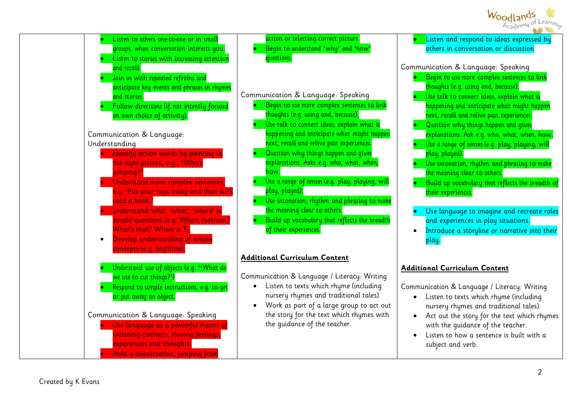

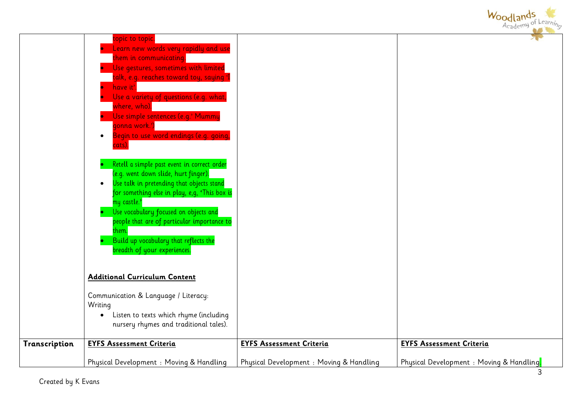

|               | nursery rhymes and traditional tales).   |                                         |                                           |
|---------------|------------------------------------------|-----------------------------------------|-------------------------------------------|
| Transcription | <b>EYFS Assessment Criteria</b>          | <b>EYFS Assessment Criteria</b>         | <b>EYFS Assessment Criteria</b>           |
|               | Physical Development : Moving & Handling | Physical Development: Moving & Handling | Physical Development : Moving & Handling. |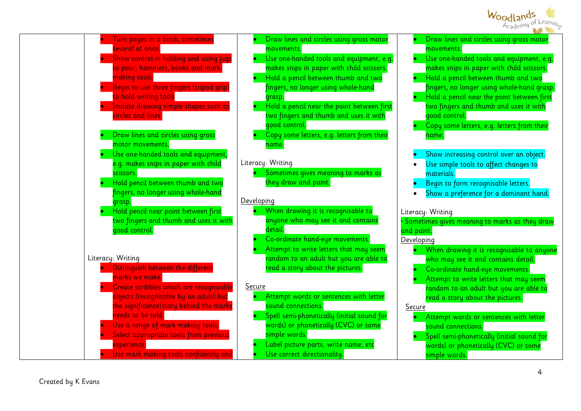



|                   | movements.                                    |
|-------------------|-----------------------------------------------|
|                   | Use one-handed tools and equipment, e.g.      |
|                   | makes snips in paper with child scissors.     |
|                   | Hold a pencil between thumb and two           |
|                   | fingers, no longer using whole-hand grasp.    |
|                   | Hold a pencil near the point between first    |
|                   | two fingers and thumb and uses it with        |
|                   | good control.                                 |
|                   | Copy some letters, e.g. letters from their    |
|                   | name.                                         |
|                   |                                               |
|                   | Show increasing control over an object.       |
|                   | Use simple tools to affect changes to         |
|                   | materials.                                    |
|                   | Begin to form recognisable letters.           |
|                   | Show a preference for a dominant hand.        |
|                   |                                               |
|                   | Literacy: Writing                             |
|                   | Sometimes gives meaning to marks as they draw |
| and paint.        |                                               |
| <u>Developing</u> |                                               |
|                   | When drawing it is recognisable to anyone     |
|                   | who may see it and contains detail.           |
|                   | Co-ordinate hand-eye movements.               |
|                   | Attempt to write letters that may seem        |
|                   | random to an adult but you are able to        |
|                   | read a story about the pictures.              |
| <u>Secure</u>     |                                               |
|                   |                                               |
|                   | Attempt words or sentences with letter        |
|                   | sound connections.                            |
|                   | Spell semi-phonetically (initial sound for    |
|                   | words) or phonetically (CVC) or some          |
|                   | simple words.                                 |
|                   |                                               |

Draw lines and circles using gross motor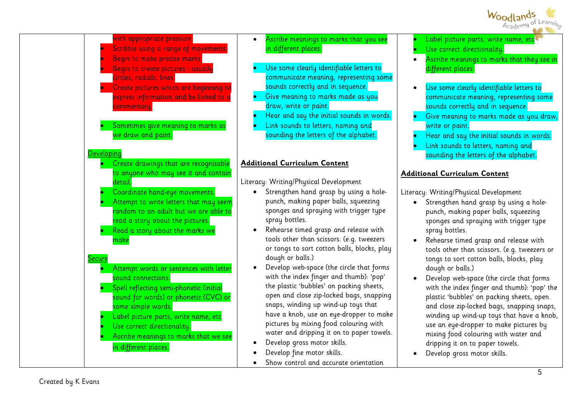



- Ascribe meanings to marks that you see in different places.
- Use some clearly identifiable letters to communicate meaning, representing some sounds correctly and in sequence.
- Give meaning to marks made as you draw, write or paint.
- Hear and say the initial sounds in words.
- Link sounds to letters, naming and sounding the letters of the alphabet.

#### **Additional Curriculum Content**

Literacy: Writing/Physical Development

- Strengthen hand grasp by using a holepunch, making paper balls, squeezing sponges and spraying with trigger type spray bottles.
- Rehearse timed grasp and release with tools other than scissors. (e.g. tweezers or tongs to sort cotton balls, blocks, play dough or balls.)
- Develop web-space (the circle that forms with the index finger and thumb): 'pop' the plastic 'bubbles' on packing sheets, open and close zip-locked bags, snapping snaps, winding up wind-up toys that have a knob, use an eye-dropper to make pictures by mixing food colouring with water and dripping it on to paper towels.
- Develop gross motor skills.
- Develop fine motor skills.
- Show control and accurate orientation
- Label picture parts, write name, etc
- Use correct directionality.
- Ascribe meanings to marks that they see in different places.
- Use some clearly identifiable letters to communicate meaning, representing some sounds correctly and in sequence.
- Give meaning to marks made as you draw, write or paint.
- Hear and say the initial sounds in words.
- Link sounds to letters, naming and sounding the letters of the alphabet.

## **Additional Curriculum Content**

Literacy: Writing/Physical Development

- Strengthen hand grasp by using a holepunch, making paper balls, squeezing sponges and spraying with trigger type spray bottles.
- Rehearse timed grasp and release with tools other than scissors. (e.g. tweezers or tongs to sort cotton balls, blocks, play dough or balls.)
- Develop web-space (the circle that forms with the index finger and thumb): 'pop' the plastic 'bubbles' on packing sheets, open and close zip-locked bags, snapping snaps, winding up wind-up toys that have a knob, use an eye-dropper to make pictures by mixing food colouring with water and dripping it on to paper towels.
- Develop gross motor skills.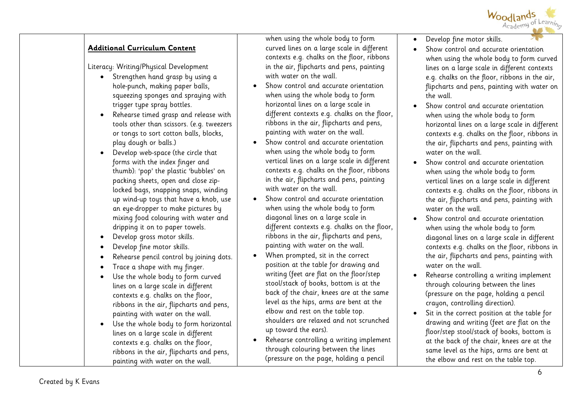

#### **Additional Curriculum Content**

Literacy: Writing/Physical Development

- Strengthen hand grasp by using a hole-punch, making paper balls, squeezing sponges and spraying with trigger type spray bottles.
- Rehearse timed grasp and release with tools other than scissors. (e.g. tweezers or tongs to sort cotton balls, blocks, play dough or balls.)
- Develop web-space (the circle that forms with the index finger and thumb): 'pop' the plastic 'bubbles' on packing sheets, open and close ziplocked bags, snapping snaps, winding up wind-up toys that have a knob, use an eye-dropper to make pictures by mixing food colouring with water and dripping it on to paper towels.
- Develop gross motor skills.
- Develop fine motor skills.
- Rehearse pencil control by joining dots.
- Trace a shape with my finger.
- Use the whole body to form curved lines on a large scale in different contexts e.g. chalks on the floor, ribbons in the air, flipcharts and pens, painting with water on the wall.
- Use the whole body to form horizontal lines on a large scale in different contexts e.g. chalks on the floor, ribbons in the air, flipcharts and pens, painting with water on the wall.

when using the whole body to form curved lines on a large scale in different contexts e.g. chalks on the floor, ribbons in the air, flipcharts and pens, painting with water on the wall

- Show control and accurate orientation when using the whole body to form horizontal lines on a large scale in different contexts e.g. chalks on the floor, ribbons in the air, flipcharts and pens, painting with water on the wall.
- Show control and accurate orientation when using the whole body to form vertical lines on a large scale in different contexts e.g. chalks on the floor, ribbons in the air, flipcharts and pens, painting with water on the wall.
- Show control and accurate orientation when using the whole body to form diagonal lines on a large scale in different contexts e.g. chalks on the floor, ribbons in the air, flipcharts and pens, painting with water on the wall.
- When prompted, sit in the correct position at the table for drawing and writing (feet are flat on the floor/step stool/stack of books, bottom is at the back of the chair, knees are at the same level as the hips, arms are bent at the elbow and rest on the table top. shoulders are relaxed and not scrunched up toward the ears).
- Rehearse controlling a writing implement through colouring between the lines (pressure on the page, holding a pencil
- Develop fine motor skills.
- Show control and accurate orientation when using the whole body to form curved lines on a large scale in different contexts e.g. chalks on the floor, ribbons in the air, flipcharts and pens, painting with water on the wall.
- Show control and accurate orientation when using the whole body to form horizontal lines on a large scale in different contexts e.g. chalks on the floor, ribbons in the air, flipcharts and pens, painting with water on the wall.
- Show control and accurate orientation when using the whole body to form vertical lines on a large scale in different contexts e.g. chalks on the floor, ribbons in the air, flipcharts and pens, painting with water on the wall.
- Show control and accurate orientation when using the whole body to form diagonal lines on a large scale in different contexts e.g. chalks on the floor, ribbons in the air, flipcharts and pens, painting with water on the wall
- Rehearse controlling a writing implement through colouring between the lines (pressure on the page, holding a pencil crayon, controlling direction).
- Sit in the correct position at the table for drawing and writing (feet are flat on the floor/step stool/stack of books, bottom is at the back of the chair, knees are at the same level as the hips, arms are bent at the elbow and rest on the table top.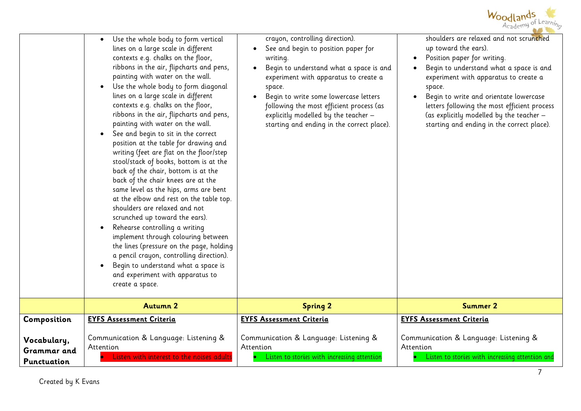

|                                   | Use the whole body to form vertical<br>lines on a large scale in different<br>contexts e.g. chalks on the floor,<br>ribbons in the air, flipcharts and pens,<br>painting with water on the wall.<br>Use the whole body to form diagonal<br>lines on a large scale in different<br>contexts e.g. chalks on the floor,<br>ribbons in the air, flipcharts and pens,<br>painting with water on the wall.<br>See and begin to sit in the correct<br>position at the table for drawing and<br>writing (feet are flat on the floor/step<br>stool/stack of books, bottom is at the<br>back of the chair, bottom is at the<br>back of the chair knees are at the<br>same level as the hips, arms are bent<br>at the elbow and rest on the table top.<br>shoulders are relaxed and not<br>scrunched up toward the ears).<br>Rehearse controlling a writing<br>implement through colouring between<br>the lines (pressure on the page, holding<br>a pencil crayon, controlling direction).<br>Begin to understand what a space is<br>and experiment with apparatus to<br>create a space. | crayon, controlling direction).<br>See and begin to position paper for<br>writing.<br>Begin to understand what a space is and<br>experiment with apparatus to create a<br>space.<br>Begin to write some lowercase letters<br>following the most efficient process (as<br>explicitly modelled by the teacher -<br>starting and ending in the correct place). | shoulders are relaxed and not scrunched<br>up toward the ears).<br>Position paper for writing.<br>Begin to understand what a space is and<br>experiment with apparatus to create a<br>space.<br>Begin to write and orientate lowercase<br>letters following the most efficient process<br>(as explicitly modelled by the teacher -<br>starting and ending in the correct place). |
|-----------------------------------|-------------------------------------------------------------------------------------------------------------------------------------------------------------------------------------------------------------------------------------------------------------------------------------------------------------------------------------------------------------------------------------------------------------------------------------------------------------------------------------------------------------------------------------------------------------------------------------------------------------------------------------------------------------------------------------------------------------------------------------------------------------------------------------------------------------------------------------------------------------------------------------------------------------------------------------------------------------------------------------------------------------------------------------------------------------------------------|-------------------------------------------------------------------------------------------------------------------------------------------------------------------------------------------------------------------------------------------------------------------------------------------------------------------------------------------------------------|----------------------------------------------------------------------------------------------------------------------------------------------------------------------------------------------------------------------------------------------------------------------------------------------------------------------------------------------------------------------------------|
|                                   | <b>Autumn 2</b>                                                                                                                                                                                                                                                                                                                                                                                                                                                                                                                                                                                                                                                                                                                                                                                                                                                                                                                                                                                                                                                               | <b>Spring 2</b>                                                                                                                                                                                                                                                                                                                                             | <b>Summer 2</b>                                                                                                                                                                                                                                                                                                                                                                  |
| Composition                       | <b>EYFS Assessment Criteria</b>                                                                                                                                                                                                                                                                                                                                                                                                                                                                                                                                                                                                                                                                                                                                                                                                                                                                                                                                                                                                                                               | <b>EYFS Assessment Criteria</b>                                                                                                                                                                                                                                                                                                                             | <b>EYFS Assessment Criteria</b>                                                                                                                                                                                                                                                                                                                                                  |
| Vocabulary,<br><b>Grammar</b> and | Communication & Language: Listening &<br>Attention<br>Listen with interest to the noises adults                                                                                                                                                                                                                                                                                                                                                                                                                                                                                                                                                                                                                                                                                                                                                                                                                                                                                                                                                                               | Communication & Language: Listening &<br>Attention<br>Listen to stories with increasing attention                                                                                                                                                                                                                                                           | Communication & Language: Listening &<br>Attention<br>Listen to stories with increasing attention and                                                                                                                                                                                                                                                                            |
| Punctuation                       |                                                                                                                                                                                                                                                                                                                                                                                                                                                                                                                                                                                                                                                                                                                                                                                                                                                                                                                                                                                                                                                                               |                                                                                                                                                                                                                                                                                                                                                             |                                                                                                                                                                                                                                                                                                                                                                                  |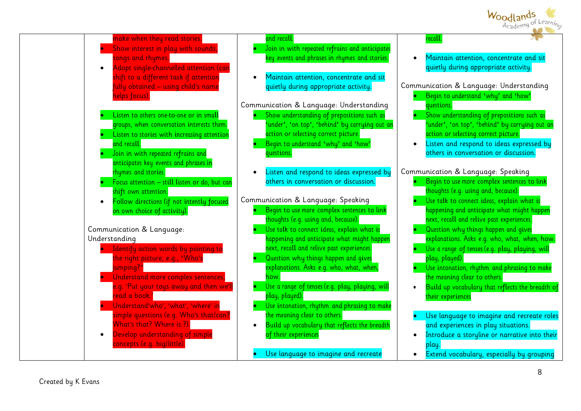

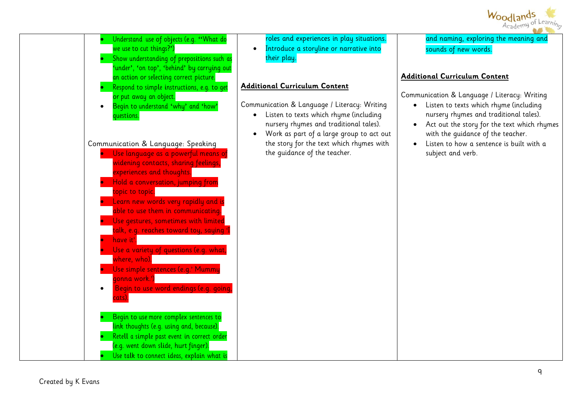



and naming, exploring the meaning and sounds of new words.

#### **Additional Curriculum Content**

Communication & Language / Literacy: Writing

- Listen to texts which rhyme (including nursery rhymes and traditional tales).
- Act out the story for the text which rhymes with the guidance of the teacher.
- $\bullet$  Listen to how a sentence is built with a subject and verb.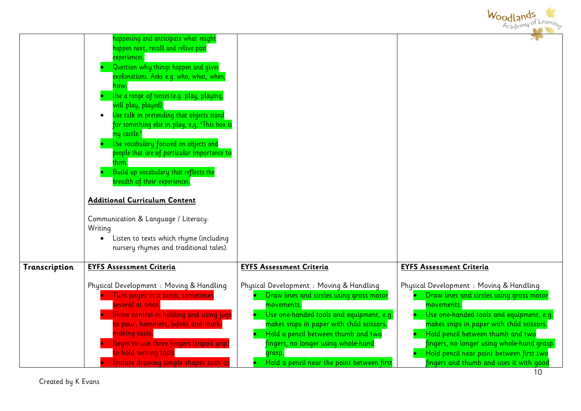|               |                                                                                                                                                                                                                                                                                                                                                                                                                                                                                                                                                                                                                                      |                                                                                                                                                                                                                                                                                                                                               | Woodlands<br>Academy of Learning                                                                                                                                                                                                                                                                                                                                      |
|---------------|--------------------------------------------------------------------------------------------------------------------------------------------------------------------------------------------------------------------------------------------------------------------------------------------------------------------------------------------------------------------------------------------------------------------------------------------------------------------------------------------------------------------------------------------------------------------------------------------------------------------------------------|-----------------------------------------------------------------------------------------------------------------------------------------------------------------------------------------------------------------------------------------------------------------------------------------------------------------------------------------------|-----------------------------------------------------------------------------------------------------------------------------------------------------------------------------------------------------------------------------------------------------------------------------------------------------------------------------------------------------------------------|
|               | nappening and anticipate what might<br>happen next, recall and relive past<br>experiences.<br>Question why things happen and gives<br>explanations. Asks e.g. who, what, when,<br>าow<br>Use a range of tenses (e.g. play, playing,<br>will play, played).<br>Use talk in pretending that objects stand<br>for something else in play, e,g, 'This box is<br>ny castle.'<br>Use vocabulary focused on objects and<br>people that are of particular importance to<br>Build up vocabulary that reflects the<br>breadth of their experiences.<br><b>Additional Curriculum Content</b><br>Communication & Language / Literacy:<br>Writing |                                                                                                                                                                                                                                                                                                                                               |                                                                                                                                                                                                                                                                                                                                                                       |
|               | Listen to texts which rhyme (including<br>nursery rhymes and traditional tales).                                                                                                                                                                                                                                                                                                                                                                                                                                                                                                                                                     |                                                                                                                                                                                                                                                                                                                                               |                                                                                                                                                                                                                                                                                                                                                                       |
| Transcription | <b>EYFS Assessment Criteria</b>                                                                                                                                                                                                                                                                                                                                                                                                                                                                                                                                                                                                      | <b>EYFS Assessment Criteria</b>                                                                                                                                                                                                                                                                                                               | <b>EYFS Assessment Criteria</b>                                                                                                                                                                                                                                                                                                                                       |
|               | Physical Development : Moving & Handling<br>Turn pages in a book, sometimes<br>several at once.<br>Show control in holding and using jugs<br>to pour, hammers, books and mark-<br>making tools.<br>Begin to use three fingers (tripod grip)<br>o hold writing tools<br>Imitate drawing simple shapes such as                                                                                                                                                                                                                                                                                                                         | Physical Development : Moving & Handling<br>Draw lines and circles using gross motor<br>movements.<br>Use one-handed tools and equipment, e.g.<br>makes snips in paper with child scissors.<br>Hold a pencil between thumb and two<br>$\bullet$<br>ingers, no longer using whole-hand<br>grasp.<br>Hold a pencil near the point between first | Physical Development : Moving & Handling<br>Draw lines and circles using gross motor<br>movements.<br>Use one-handed tools and equipment, e.g.<br>makes snips in paper with child scissors.<br>Hold pencil between thumb and two<br>fingers, no longer using whole-hand grasp.<br>Hold pencil near point between first two<br>fingers and thumb and uses it with good |

Created by K Evans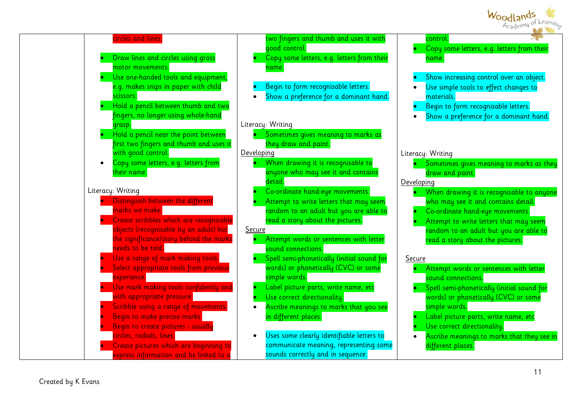

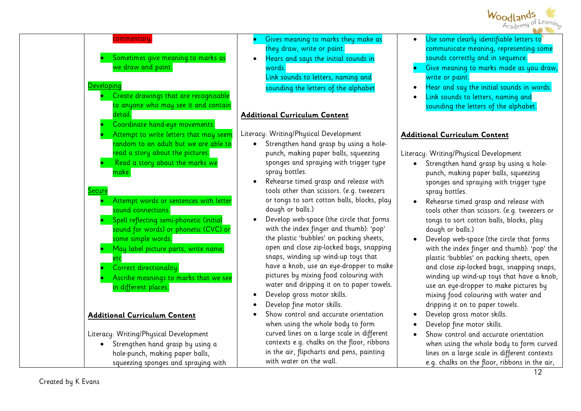



- Gives meaning to marks they make as they draw, write or paint.
- Hears and says the initial sounds in words.

Link sounds to letters, naming and sounding the letters of the alphabet

## **Additional Curriculum Content**

Literacy: Writing/Physical Development

- Strengthen hand grasp by using a holepunch, making paper balls, squeezing sponges and spraying with trigger type spray bottles.
- Rehearse timed grasp and release with tools other than scissors. (e.g. tweezers or tongs to sort cotton balls, blocks, play dough or balls.)
- Develop web-space (the circle that forms with the index finger and thumb): 'pop' the plastic 'bubbles' on packing sheets, open and close zip-locked bags, snapping snaps, winding up wind-up toys that have a knob, use an eye-dropper to make pictures by mixing food colouring with water and dripping it on to paper towels.
- Develop gross motor skills.
- Develop fine motor skills.
- Show control and accurate orientation when using the whole body to form curved lines on a large scale in different contexts e.g. chalks on the floor, ribbons in the air, flipcharts and pens, painting with water on the wall.
- Use some clearly identifiable letters to communicate meaning, representing some sounds correctly and in sequence.
- Give meaning to marks made as you draw, write or paint.
- Hear and say the initial sounds in words.
- Link sounds to letters, naming and sounding the letters of the alphabet.

## **Additional Curriculum Content**

Literacy: Writing/Physical Development

- Strengthen hand grasp by using a holepunch, making paper balls, squeezing sponges and spraying with trigger type spray bottles.
- Rehearse timed grasp and release with tools other than scissors. (e.g. tweezers or tongs to sort cotton balls, blocks, play dough or balls.)
- Develop web-space (the circle that forms with the index finger and thumb): 'pop' the plastic 'bubbles' on packing sheets, open and close zip-locked bags, snapping snaps, winding up wind-up toys that have a knob, use an eye-dropper to make pictures by mixing food colouring with water and dripping it on to paper towels.
- Develop gross motor skills.
- Develop fine motor skills.
- Show control and accurate orientation when using the whole body to form curved lines on a large scale in different contexts e.g. chalks on the floor, ribbons in the air,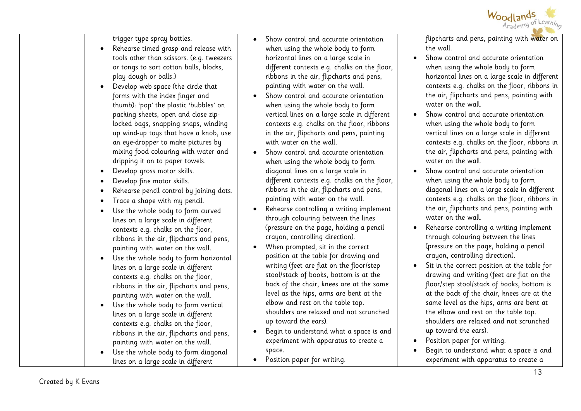

trigger type spray bottles.

- Rehearse timed grasp and release with tools other than scissors. (e.g. tweezers or tongs to sort cotton balls, blocks, play dough or balls.)
- Develop web-space (the circle that forms with the index finger and thumb): 'pop' the plastic 'bubbles' on packing sheets, open and close ziplocked bags, snapping snaps, winding up wind-up toys that have a knob, use an eye-dropper to make pictures by mixing food colouring with water and dripping it on to paper towels.
- Develop gross motor skills.
- Develop fine motor skills.
- Rehearse pencil control by joining dots.
- Trace a shape with my pencil.
- Use the whole body to form curved lines on a large scale in different contexts e.g. chalks on the floor, ribbons in the air, flipcharts and pens, painting with water on the wall.
- Use the whole body to form horizontal lines on a large scale in different contexts e.g. chalks on the floor, ribbons in the air, flipcharts and pens, painting with water on the wall.
- Use the whole body to form vertical lines on a large scale in different contexts e.g. chalks on the floor, ribbons in the air, flipcharts and pens, painting with water on the wall.
- Use the whole body to form diagonal lines on a large scale in different
- Show control and accurate orientation when using the whole body to form horizontal lines on a large scale in different contexts e.g. chalks on the floor, ribbons in the air, flipcharts and pens, painting with water on the wall.
- Show control and accurate orientation when using the whole body to form vertical lines on a large scale in different contexts e.g. chalks on the floor, ribbons in the air, flipcharts and pens, painting with water on the wall.
- Show control and accurate orientation when using the whole body to form diagonal lines on a large scale in different contexts e.g. chalks on the floor, ribbons in the air, flipcharts and pens, painting with water on the wall.
- Rehearse controlling a writing implement through colouring between the lines (pressure on the page, holding a pencil crayon, controlling direction).
- When prompted, sit in the correct position at the table for drawing and writing (feet are flat on the floor/step stool/stack of books, bottom is at the back of the chair, knees are at the same level as the hips, arms are bent at the elbow and rest on the table top. shoulders are relaxed and not scrunched up toward the ears).
- Begin to understand what a space is and experiment with apparatus to create a space.
- Position paper for writing.

flipcharts and pens, painting with water on the wall.

- Show control and accurate orientation when using the whole body to form horizontal lines on a large scale in different contexts e.g. chalks on the floor, ribbons in the air, flipcharts and pens, painting with water on the wall.
- Show control and accurate orientation when using the whole body to form vertical lines on a large scale in different contexts e.g. chalks on the floor, ribbons in the air, flipcharts and pens, painting with water on the wall.
- Show control and accurate orientation when using the whole body to form diagonal lines on a large scale in different contexts e.g. chalks on the floor, ribbons in the air, flipcharts and pens, painting with water on the wall
- Rehearse controlling a writing implement through colouring between the lines (pressure on the page, holding a pencil crayon, controlling direction).
- Sit in the correct position at the table for drawing and writing (feet are flat on the floor/step stool/stack of books, bottom is at the back of the chair, knees are at the same level as the hips, arms are bent at the elbow and rest on the table top. shoulders are relaxed and not scrunched up toward the ears).
- Position paper for writing.
- Begin to understand what a space is and experiment with apparatus to create a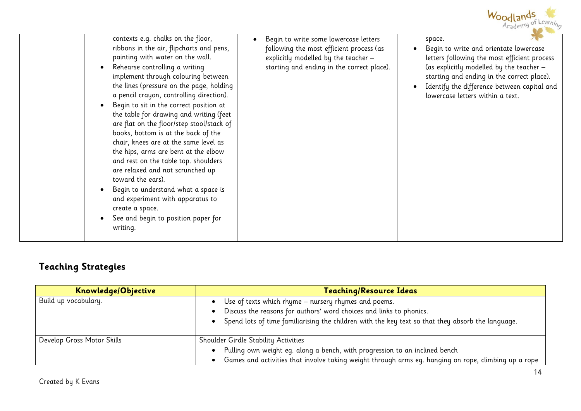

| contexts e.g. chalks on the floor,<br>Begin to write some lowercase letters<br>space.<br>ribbons in the air, flipcharts and pens,<br>following the most efficient process (as<br>Begin to write and orientate lowercase<br>painting with water on the wall.<br>explicitly modelled by the teacher -<br>letters following the most efficient process<br>starting and ending in the correct place).<br>(as explicitly modelled by the teacher -<br>Rehearse controlling a writing<br>implement through colouring between<br>starting and ending in the correct place).<br>the lines (pressure on the page, holding<br>Identify the difference between capital and<br>a pencil crayon, controlling direction).<br>lowercase letters within a text.<br>Begin to sit in the correct position at<br>the table for drawing and writing (feet<br>are flat on the floor/step stool/stack of<br>books, bottom is at the back of the<br>chair, knees are at the same level as<br>the hips, arms are bent at the elbow<br>and rest on the table top. shoulders<br>are relaxed and not scrunched up<br>toward the ears).<br>Begin to understand what a space is |
|----------------------------------------------------------------------------------------------------------------------------------------------------------------------------------------------------------------------------------------------------------------------------------------------------------------------------------------------------------------------------------------------------------------------------------------------------------------------------------------------------------------------------------------------------------------------------------------------------------------------------------------------------------------------------------------------------------------------------------------------------------------------------------------------------------------------------------------------------------------------------------------------------------------------------------------------------------------------------------------------------------------------------------------------------------------------------------------------------------------------------------------------------|
| and experiment with apparatus to<br>create a space.<br>See and begin to position paper for<br>writing.                                                                                                                                                                                                                                                                                                                                                                                                                                                                                                                                                                                                                                                                                                                                                                                                                                                                                                                                                                                                                                             |

# **Teaching Strategies**

| Knowledge/Objective        | <b>Teaching/Resource Ideas</b>                                                                                                                                                                                                   |
|----------------------------|----------------------------------------------------------------------------------------------------------------------------------------------------------------------------------------------------------------------------------|
| Build up vocabulary.       | Use of texts which rhyme - nursery rhymes and poems.<br>Discuss the reasons for authors' word choices and links to phonics.<br>Spend lots of time familiarising the children with the key text so that they absorb the language. |
| Develop Gross Motor Skills | Shoulder Girdle Stability Activities<br>Pulling own weight eg. along a bench, with progression to an inclined bench<br>Games and activities that involve taking weight through arms eg. hanging on rope, climbing up a rope      |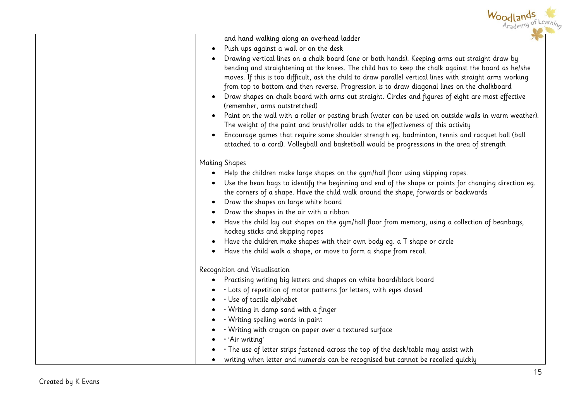| Woodlands<br>Academy of Learning                                                                                                                                                                                                                                                                                                                                                                                                                                                                                                                          |
|-----------------------------------------------------------------------------------------------------------------------------------------------------------------------------------------------------------------------------------------------------------------------------------------------------------------------------------------------------------------------------------------------------------------------------------------------------------------------------------------------------------------------------------------------------------|
| and hand walking along an overhead ladder                                                                                                                                                                                                                                                                                                                                                                                                                                                                                                                 |
| Push ups against a wall or on the desk                                                                                                                                                                                                                                                                                                                                                                                                                                                                                                                    |
| Drawing vertical lines on a chalk board (one or both hands). Keeping arms out straight draw by<br>bending and straightening at the knees. The child has to keep the chalk against the board as he/she<br>moves. If this is too difficult, ask the child to draw parallel vertical lines with straight arms working<br>from top to bottom and then reverse. Progression is to draw diagonal lines on the chalkboard<br>Draw shapes on chalk board with arms out straight. Circles and figures of eight are most effective<br>(remember, arms outstretched) |
| Paint on the wall with a roller or pasting brush (water can be used on outside walls in warm weather).<br>The weight of the paint and brush/roller adds to the effectiveness of this activity                                                                                                                                                                                                                                                                                                                                                             |
| Encourage games that require some shoulder strength eg. badminton, tennis and racquet ball (ball<br>attached to a cord). Volleyball and basketball would be progressions in the area of strength                                                                                                                                                                                                                                                                                                                                                          |
| <b>Making Shapes</b>                                                                                                                                                                                                                                                                                                                                                                                                                                                                                                                                      |
| • Help the children make large shapes on the gym/hall floor using skipping ropes.                                                                                                                                                                                                                                                                                                                                                                                                                                                                         |
| • Use the bean bags to identify the beginning and end of the shape or points for changing direction eg.<br>the corners of a shape. Have the child walk around the shape, forwards or backwards<br>• Draw the shapes on large white board                                                                                                                                                                                                                                                                                                                  |
| Draw the shapes in the air with a ribbon                                                                                                                                                                                                                                                                                                                                                                                                                                                                                                                  |
| Have the child lay out shapes on the gym/hall floor from memory, using a collection of beanbags,<br>hockey sticks and skipping ropes                                                                                                                                                                                                                                                                                                                                                                                                                      |
| Have the children make shapes with their own body eg. a T shape or circle                                                                                                                                                                                                                                                                                                                                                                                                                                                                                 |
| Have the child walk a shape, or move to form a shape from recall                                                                                                                                                                                                                                                                                                                                                                                                                                                                                          |
| Recognition and Visualisation                                                                                                                                                                                                                                                                                                                                                                                                                                                                                                                             |
| Practising writing big letters and shapes on white board/black board                                                                                                                                                                                                                                                                                                                                                                                                                                                                                      |
| . Lots of repetition of motor patterns for letters, with eyes closed                                                                                                                                                                                                                                                                                                                                                                                                                                                                                      |
| $\cdot$ Use of tactile alphabet                                                                                                                                                                                                                                                                                                                                                                                                                                                                                                                           |
| • Writing in damp sand with a finger                                                                                                                                                                                                                                                                                                                                                                                                                                                                                                                      |
| • Writing spelling words in paint                                                                                                                                                                                                                                                                                                                                                                                                                                                                                                                         |
| · Writing with crayon on paper over a textured surface                                                                                                                                                                                                                                                                                                                                                                                                                                                                                                    |
| · 'Air writing'                                                                                                                                                                                                                                                                                                                                                                                                                                                                                                                                           |
| • The use of letter strips fastened across the top of the desk/table may assist with                                                                                                                                                                                                                                                                                                                                                                                                                                                                      |
| writing when letter and numerals can be recognised but cannot be recalled quickly                                                                                                                                                                                                                                                                                                                                                                                                                                                                         |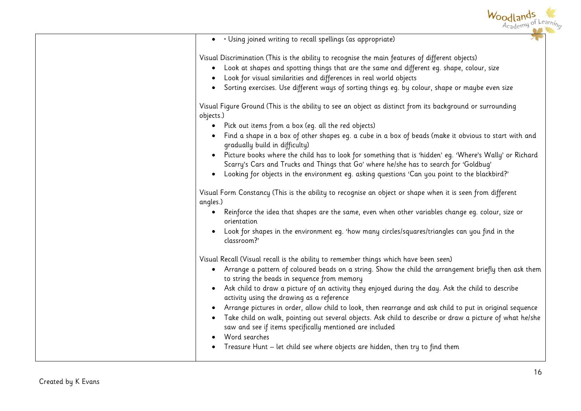| • Using joined writing to recall spellings (as appropriate)<br>$\bullet$                                                                                                                                                                                                                                                                                                                                                                                                                                                                                                                                                                                                                                                                                                                                                                                                                             |
|------------------------------------------------------------------------------------------------------------------------------------------------------------------------------------------------------------------------------------------------------------------------------------------------------------------------------------------------------------------------------------------------------------------------------------------------------------------------------------------------------------------------------------------------------------------------------------------------------------------------------------------------------------------------------------------------------------------------------------------------------------------------------------------------------------------------------------------------------------------------------------------------------|
| Visual Discrimination (This is the ability to recognise the main features of different objects)<br>• Look at shapes and spotting things that are the same and different eg. shape, colour, size<br>Look for visual similarities and differences in real world objects<br>Sorting exercises. Use different ways of sorting things eg. by colour, shape or maybe even size                                                                                                                                                                                                                                                                                                                                                                                                                                                                                                                             |
| Visual Figure Ground (This is the ability to see an object as distinct from its background or surrounding<br>objects.)<br>• Pick out items from a box (eg. all the red objects)<br>Find a shape in a box of other shapes eq. a cube in a box of beads (make it obvious to start with and<br>gradually build in difficulty)<br>Picture books where the child has to look for something that is 'hidden' eg. 'Where's Wally' or Richard<br>$\bullet$<br>Scarry's Cars and Trucks and Things that Go' where he/she has to search for 'Goldbug'<br>Looking for objects in the environment eq. asking questions 'Can you point to the blackbird?'<br>$\bullet$<br>Visual Form Constancy (This is the ability to recognise an object or shape when it is seen from different<br>angles.)<br>Reinforce the idea that shapes are the same, even when other variables change eg. colour, size or<br>$\bullet$ |
| orientation<br>Look for shapes in the environment eg. 'how many circles/squares/triangles can you find in the<br>$\bullet$<br>classroom?'                                                                                                                                                                                                                                                                                                                                                                                                                                                                                                                                                                                                                                                                                                                                                            |
| Visual Recall (Visual recall is the ability to remember things which have been seen)<br>• Arrange a pattern of coloured beads on a string. Show the child the arrangement briefly then ask them<br>to string the beads in sequence from memory<br>• Ask child to draw a picture of an activity they enjoyed during the day. Ask the child to describe<br>activity using the drawing as a reference<br>Arrange pictures in order, allow child to look, then rearrange and ask child to put in original sequence<br>Take child on walk, pointing out several objects. Ask child to describe or draw a picture of what he/she<br>saw and see if items specifically mentioned are included<br>Word searches<br>Treasure Hunt - let child see where objects are hidden, then try to find them                                                                                                             |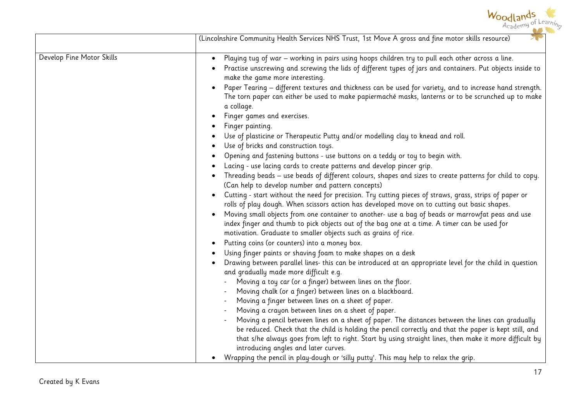

|                           | (Lincolnshire Community Health Services NHS Trust, 1st Move A gross and fine motor skills resource)                                                                                                                                                                                                                                                                                                                                                                                                                                                                                                                                                                                                                                                                                                                                                                                                                                                                                                                                                                                                                                                                                                                                                                                                                                                                                                                                                                                                                                                                                                                                                                                                                                                                                                                                                                            |
|---------------------------|--------------------------------------------------------------------------------------------------------------------------------------------------------------------------------------------------------------------------------------------------------------------------------------------------------------------------------------------------------------------------------------------------------------------------------------------------------------------------------------------------------------------------------------------------------------------------------------------------------------------------------------------------------------------------------------------------------------------------------------------------------------------------------------------------------------------------------------------------------------------------------------------------------------------------------------------------------------------------------------------------------------------------------------------------------------------------------------------------------------------------------------------------------------------------------------------------------------------------------------------------------------------------------------------------------------------------------------------------------------------------------------------------------------------------------------------------------------------------------------------------------------------------------------------------------------------------------------------------------------------------------------------------------------------------------------------------------------------------------------------------------------------------------------------------------------------------------------------------------------------------------|
| Develop Fine Motor Skills | Playing tug of war - working in pairs using hoops children try to pull each other across a line.<br>Practise unscrewing and screwing the lids of different types of jars and containers. Put objects inside to<br>make the game more interesting.<br>Paper Tearing - different textures and thickness can be used for variety, and to increase hand strength.<br>The torn paper can either be used to make papiermaché masks, lanterns or to be scrunched up to make<br>a collage.<br>Finger games and exercises.<br>Finger painting.<br>Use of plasticine or Therapeutic Putty and/or modelling clay to knead and roll.<br>Use of bricks and construction toys.<br>Opening and fastening buttons - use buttons on a teddy or toy to begin with.<br>Lacing - use lacing cards to create patterns and develop pincer grip.<br>Threading beads - use beads of different colours, shapes and sizes to create patterns for child to copy.<br>(Can help to develop number and pattern concepts)<br>Cutting - start without the need for precision. Try cutting pieces of straws, grass, strips of paper or<br>rolls of play dough. When scissors action has developed move on to cutting out basic shapes.<br>Moving small objects from one container to another- use a bag of beads or marrowfat peas and use<br>index finger and thumb to pick objects out of the bag one at a time. A timer can be used for<br>motivation. Graduate to smaller objects such as grains of rice.<br>Putting coins (or counters) into a money box.<br>Using finger paints or shaving foam to make shapes on a desk<br>Drawing between parallel lines- this can be introduced at an appropriate level for the child in question<br>and gradually made more difficult e.g.<br>Moving a toy car (or a finger) between lines on the floor.<br>Moving chalk (or a finger) between lines on a blackboard. |
|                           | Moving a finger between lines on a sheet of paper.<br>Moving a crayon between lines on a sheet of paper.<br>Moving a pencil between lines on a sheet of paper. The distances between the lines can gradually<br>be reduced. Check that the child is holding the pencil correctly and that the paper is kept still, and<br>that s/he always goes from left to right. Start by using straight lines, then make it more difficult by<br>introducing angles and later curves.<br>Wrapping the pencil in play-dough or 'silly putty'. This may help to relax the grip.                                                                                                                                                                                                                                                                                                                                                                                                                                                                                                                                                                                                                                                                                                                                                                                                                                                                                                                                                                                                                                                                                                                                                                                                                                                                                                              |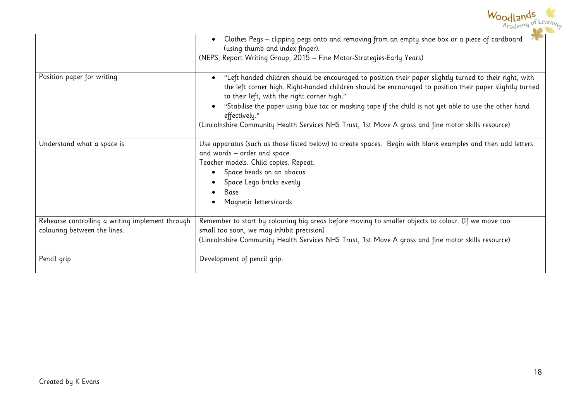|                                                                                  | Woodlangs                                                                                                                                                                                                                                                                                                                                                                                                                                                                                            |
|----------------------------------------------------------------------------------|------------------------------------------------------------------------------------------------------------------------------------------------------------------------------------------------------------------------------------------------------------------------------------------------------------------------------------------------------------------------------------------------------------------------------------------------------------------------------------------------------|
|                                                                                  | Clothes Pegs - clipping pegs onto and removing from an empty shoe box or a piece of cardboard<br>(using thumb and index finger).<br>(NEPS, Report Writing Group, 2015 - Fine Motor-Strategies-Early Years)                                                                                                                                                                                                                                                                                           |
| Position paper for writing                                                       | "Left-handed children should be encouraged to position their paper slightly turned to their right, with<br>the left corner high. Right-handed children should be encouraged to position their paper slightly turned<br>to their left, with the right corner high."<br>"Stabilise the paper using blue tac or masking tape if the child is not yet able to use the other hand<br>effectively."<br>(Lincolnshire Community Health Services NHS Trust, 1st Move A gross and fine motor skills resource) |
| Understand what a space is.                                                      | Use apparatus (such as those listed below) to create spaces. Begin with blank examples and then add letters<br>and words - order and space.<br>Teacher models. Child copies. Repeat.<br>Space beads on an abacus<br>Space Lego bricks evenly<br>Base<br>Magnetic letters/cards                                                                                                                                                                                                                       |
| Rehearse controlling a writing implement through<br>colouring between the lines. | Remember to start by colouring big areas before moving to smaller objects to colour. (If we move too<br>small too soon, we may inhibit precision)<br>(Lincolnshire Community Health Services NHS Trust, 1st Move A gross and fine motor skills resource)                                                                                                                                                                                                                                             |
| Pencil grip                                                                      | Development of pencil grip:                                                                                                                                                                                                                                                                                                                                                                                                                                                                          |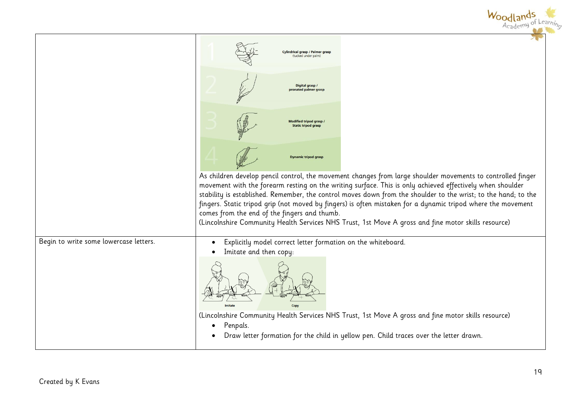|                                        | Woodla<br>Academy of Learning                                                                                                                                                                                                                                                                                                                                                                                                                                                                                                                                                                                     |
|----------------------------------------|-------------------------------------------------------------------------------------------------------------------------------------------------------------------------------------------------------------------------------------------------------------------------------------------------------------------------------------------------------------------------------------------------------------------------------------------------------------------------------------------------------------------------------------------------------------------------------------------------------------------|
|                                        | <b>Cylindrical grasp / Palmer grasp</b><br>(tucked under palm                                                                                                                                                                                                                                                                                                                                                                                                                                                                                                                                                     |
|                                        | Digital grasp /<br>pronated palmer grass                                                                                                                                                                                                                                                                                                                                                                                                                                                                                                                                                                          |
|                                        | <b>Modified tripod grasp</b><br><b>Static tripod grasp</b>                                                                                                                                                                                                                                                                                                                                                                                                                                                                                                                                                        |
|                                        | <b>Dynamic tripod grasp</b>                                                                                                                                                                                                                                                                                                                                                                                                                                                                                                                                                                                       |
|                                        | As children develop pencil control, the movement changes from large shoulder movements to controlled finger<br>movement with the forearm resting on the writing surface. This is only achieved effectively when shoulder<br>stability is established. Remember, the control moves down from the shoulder to the wrist; to the hand; to the<br>fingers. Static tripod grip (not moved by fingers) is often mistaken for a dynamic tripod where the movement<br>comes from the end of the fingers and thumb.<br>(Lincolnshire Community Health Services NHS Trust, 1st Move A gross and fine motor skills resource) |
| Begin to write some lowercase letters. | Explicitly model correct letter formation on the whiteboard.                                                                                                                                                                                                                                                                                                                                                                                                                                                                                                                                                      |
|                                        | Imitate and then copy:                                                                                                                                                                                                                                                                                                                                                                                                                                                                                                                                                                                            |
|                                        | (Lincolnshire Community Health Services NHS Trust, 1st Move A gross and fine motor skills resource)<br>Penpals.                                                                                                                                                                                                                                                                                                                                                                                                                                                                                                   |
|                                        | Draw letter formation for the child in yellow pen. Child traces over the letter drawn.                                                                                                                                                                                                                                                                                                                                                                                                                                                                                                                            |